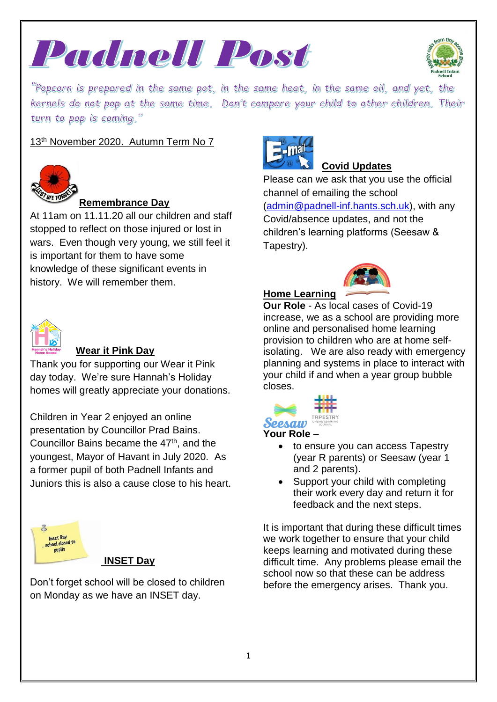



"Popcorn is prepared in the same pot, in the same heat, in the same oil, and yet, the kernels do not pop at the same time. Don't compare your child to other children. Their turn to pop is coming."

# 13<sup>th</sup> November 2020. Autumn Term No 7



### **Remembrance Day**

At 11am on 11.11.20 all our children and staff stopped to reflect on those injured or lost in wars. Even though very young, we still feel it is important for them to have some knowledge of these significant events in history. We will remember them.



## **Wear it Pink Day**

Thank you for supporting our Wear it Pink day today. We're sure Hannah's Holiday homes will greatly appreciate your donations.

Children in Year 2 enjoyed an online presentation by Councillor Prad Bains. Councillor Bains became the 47<sup>th</sup>, and the youngest, Mayor of Havant in July 2020. As a former pupil of both Padnell Infants and Juniors this is also a cause close to his heart.



### **INSET Day**

Don't forget school will be closed to children on Monday as we have an INSET day.



# **Covid Updates**

Please can we ask that you use the official channel of emailing the school [\(admin@padnell-inf.hants.sch.uk\)](mailto:admin@padnell-inf.hants.sch.uk), with any Covid/absence updates, and not the children's learning platforms (Seesaw & Tapestry).

# **Home Learning**

**Our Role** - As local cases of Covid-19 increase, we as a school are providing more online and personalised home learning provision to children who are at home selfisolating. We are also ready with emergency planning and systems in place to interact with your child if and when a year group bubble closes.



### **Your Role** –

- to ensure you can access Tapestry (year R parents) or Seesaw (year 1 and 2 parents).
- Support your child with completing their work every day and return it for feedback and the next steps.

It is important that during these difficult times we work together to ensure that your child keeps learning and motivated during these difficult time. Any problems please email the school now so that these can be address before the emergency arises. Thank you.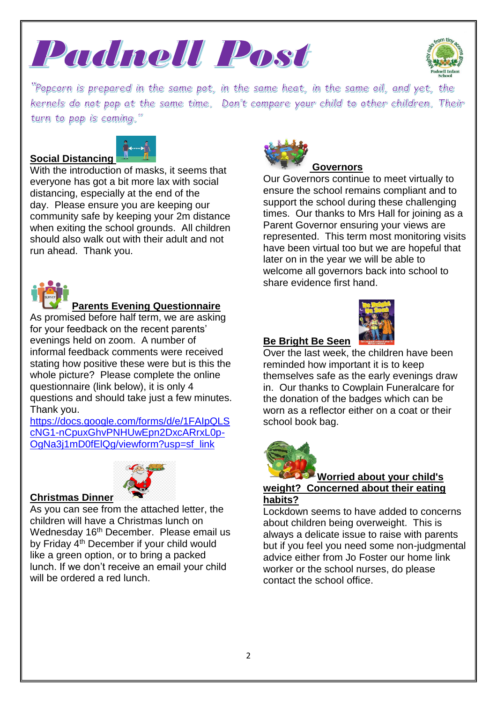



"Popcorn is prepared in the same pot, in the same heat, in the same oil, and yet, the kernels do not pop at the same time. Don't compare your child to other children. Their turn to pop is coming."

### **Social Distancing**



With the introduction of masks, it seems that everyone has got a bit more lax with social distancing, especially at the end of the day. Please ensure you are keeping our community safe by keeping your 2m distance when exiting the school grounds. All children should also walk out with their adult and not run ahead. Thank you.



# **Parents Evening Questionnaire**

As promised before half term, we are asking for your feedback on the recent parents' evenings held on zoom. A number of informal feedback comments were received stating how positive these were but is this the whole picture? Please complete the online questionnaire (link below), it is only 4 questions and should take just a few minutes. Thank you.

[https://docs.google.com/forms/d/e/1FAIpQLS](https://docs.google.com/forms/d/e/1FAIpQLScNG1-nCpuxGhvPNHUwEpn2DxcARrxL0p-OgNa3j1mD0fElQg/viewform?usp=sf_link) [cNG1-nCpuxGhvPNHUwEpn2DxcARrxL0p-](https://docs.google.com/forms/d/e/1FAIpQLScNG1-nCpuxGhvPNHUwEpn2DxcARrxL0p-OgNa3j1mD0fElQg/viewform?usp=sf_link)[OgNa3j1mD0fElQg/viewform?usp=sf\\_link](https://docs.google.com/forms/d/e/1FAIpQLScNG1-nCpuxGhvPNHUwEpn2DxcARrxL0p-OgNa3j1mD0fElQg/viewform?usp=sf_link)



### **Christmas Dinner**

As you can see from the attached letter, the children will have a Christmas lunch on Wednesday 16<sup>th</sup> December. Please email us by Friday 4<sup>th</sup> December if your child would like a green option, or to bring a packed lunch. If we don't receive an email your child will be ordered a red lunch.



### **Governors**

Our Governors continue to meet virtually to ensure the school remains compliant and to support the school during these challenging times. Our thanks to Mrs Hall for joining as a Parent Governor ensuring your views are represented. This term most monitoring visits have been virtual too but we are hopeful that later on in the year we will be able to welcome all governors back into school to share evidence first hand.

#### **Be Bright Be Seen**



Over the last week, the children have been reminded how important it is to keep themselves safe as the early evenings draw in. Our thanks to Cowplain Funeralcare for the donation of the badges which can be worn as a reflector either on a coat or their school book bag.



# **Worried about your child's**

**weight? Concerned about their eating habits?**

Lockdown seems to have added to concerns about children being overweight. This is always a delicate issue to raise with parents but if you feel you need some non-judgmental advice either from Jo Foster our home link worker or the school nurses, do please contact the school office.